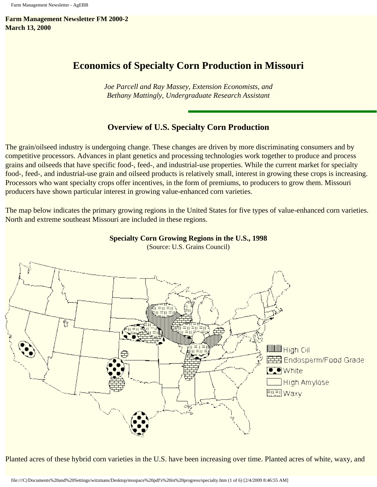**Farm Management Newsletter FM 2000-2 March 13, 2000**

# **Economics of Specialty Corn Production in Missouri**

*Joe Parcell and Ray Massey, Extension Economists, and Bethany Mattingly, Undergraduate Research Assistant*

# **Overview of U.S. Specialty Corn Production**

The grain/oilseed industry is undergoing change. These changes are driven by more discriminating consumers and by competitive processors. Advances in plant genetics and processing technologies work together to produce and process grains and oilseeds that have specific food-, feed-, and industrial-use properties. While the current market for specialty food-, feed-, and industrial-use grain and oilseed products is relatively small, interest in growing these crops is increasing. Processors who want specialty crops offer incentives, in the form of premiums, to producers to grow them. Missouri producers have shown particular interest in growing value-enhanced corn varieties.

The map below indicates the primary growing regions in the United States for five types of value-enhanced corn varieties. North and extreme southeast Missouri are included in these regions.



**Specialty Corn Growing Regions in the U.S., 1998** (Source: U.S. Grains Council)

Planted acres of these hybrid corn varieties in the U.S. have been increasing over time. Planted acres of white, waxy, and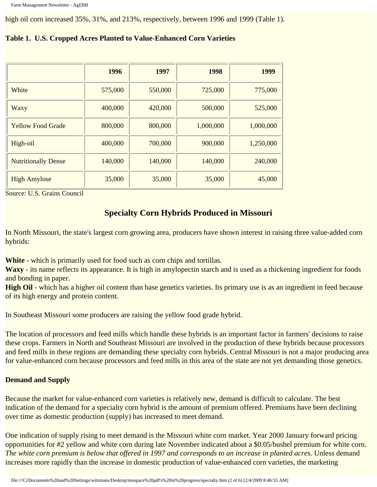high oil corn increased 35%, 31%, and 213%, respectively, between 1996 and 1999 (Table 1).

|                            | 1996    | 1997    | 1998      | 1999      |
|----------------------------|---------|---------|-----------|-----------|
| White                      | 575,000 | 550,000 | 725,000   | 775,000   |
| Waxy                       | 400,000 | 420,000 | 500,000   | 525,000   |
| <b>Yellow Food Grade</b>   | 800,000 | 800,000 | 1,000,000 | 1,000,000 |
| High-oil                   | 400,000 | 700,000 | 900,000   | 1,250,000 |
| <b>Nutritionally Dense</b> | 140,000 | 140,000 | 140,000   | 240,000   |
| <b>High Amylose</b>        | 35,000  | 35,000  | 35,000    | 45,000    |

### **Table 1. U.S. Cropped Acres Planted to Value-Enhanced Corn Varieties**

Source: U.S. Grains Council

# **Specialty Corn Hybrids Produced in Missouri**

In North Missouri, the state's largest corn growing area, producers have shown interest in raising three value-added corn hybrids:

**White** - which is primarily used for food such as corn chips and tortillas.

**Waxy** - its name reflects its appearance. It is high in amylopectin starch and is used as a thickening ingredient for foods and bonding in paper.

**High Oil** - which has a higher oil content than base genetics varieties. Its primary use is as an ingredient in feed because of its high energy and protein content.

In Southeast Missouri some producers are raising the yellow food grade hybrid.

The location of processors and feed mills which handle these hybrids is an important factor in farmers' decisions to raise these crops. Farmers in North and Southeast Missouri are involved in the production of these hybrids because processors and feed mills in these regions are demanding these specialty corn hybrids. Central Missouri is not a major producing area for value-enhanced corn because processors and feed mills in this area of the state are not yet demanding those genetics.

## **Demand and Supply**

Because the market for value-enhanced corn varieties is relatively new, demand is difficult to calculate. The best indication of the demand for a specialty corn hybrid is the amount of premium offered. Premiums have been declining over time as domestic production (supply) has increased to meet demand.

One indication of supply rising to meet demand is the Missouri white corn market. Year 2000 January forward pricing opportunities for #2 yellow and white corn during late November indicated about a \$0.05/bushel premium for white corn. *The white corn premium is below that offered in 1997 and corresponds to an increase in planted acres.* Unless demand increases more rapidly than the increase in domestic production of value-enhanced corn varieties, the marketing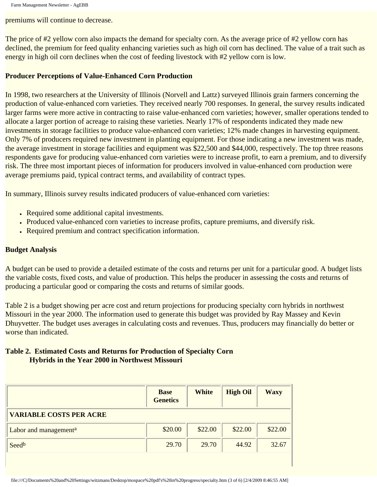premiums will continue to decrease.

The price of #2 yellow corn also impacts the demand for specialty corn. As the average price of #2 yellow corn has declined, the premium for feed quality enhancing varieties such as high oil corn has declined. The value of a trait such as energy in high oil corn declines when the cost of feeding livestock with #2 yellow corn is low.

### **Producer Perceptions of Value-Enhanced Corn Production**

In 1998, two researchers at the University of Illinois (Norvell and Lattz) surveyed Illinois grain farmers concerning the production of value-enhanced corn varieties. They received nearly 700 responses. In general, the survey results indicated larger farms were more active in contracting to raise value-enhanced corn varieties; however, smaller operations tended to allocate a larger portion of acreage to raising these varieties. Nearly 17% of respondents indicated they made new investments in storage facilities to produce value-enhanced corn varieties; 12% made changes in harvesting equipment. Only 7% of producers required new investment in planting equipment. For those indicating a new investment was made, the average investment in storage facilities and equipment was \$22,500 and \$44,000, respectively. The top three reasons respondents gave for producing value-enhanced corn varieties were to increase profit, to earn a premium, and to diversify risk. The three most important pieces of information for producers involved in value-enhanced corn production were average premiums paid, typical contract terms, and availability of contract types.

In summary, Illinois survey results indicated producers of value-enhanced corn varieties:

- Required some additional capital investments.
- Produced value-enhanced corn varieties to increase profits, capture premiums, and diversify risk.
- Required premium and contract specification information.

#### **Budget Analysis**

A budget can be used to provide a detailed estimate of the costs and returns per unit for a particular good. A budget lists the variable costs, fixed costs, and value of production. This helps the producer in assessing the costs and returns of producing a particular good or comparing the costs and returns of similar goods.

Table 2 is a budget showing per acre cost and return projections for producing specialty corn hybrids in northwest Missouri in the year 2000. The information used to generate this budget was provided by Ray Massey and Kevin Dhuyvetter. The budget uses averages in calculating costs and revenues. Thus, producers may financially do better or worse than indicated.

# **Table 2. Estimated Costs and Returns for Production of Specialty Corn Hybrids in the Year 2000 in Northwest Missouri**

|                                   | <b>Base</b><br><b>Genetics</b> | <b>White</b> | <b>High Oil</b> | <b>Waxy</b> |
|-----------------------------------|--------------------------------|--------------|-----------------|-------------|
| <b>VARIABLE COSTS PER ACRE</b>    |                                |              |                 |             |
| Labor and management <sup>a</sup> | \$20.00                        | \$22.00      | \$22.00         | \$22.00     |
| Seedb                             | 29.70                          | 29.70        | 44.92           | 32.67       |
|                                   |                                |              |                 |             |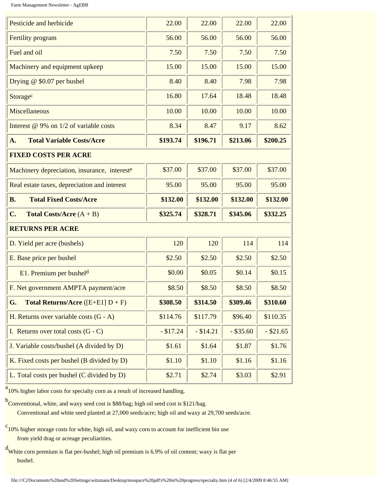Farm Management Newsletter - AgEBB

| Pesticide and herbicide                            | 22.00      | 22.00      | 22.00       | 22.00       |
|----------------------------------------------------|------------|------------|-------------|-------------|
| Fertility program                                  | 56.00      | 56.00      | 56.00       | 56.00       |
| Fuel and oil                                       | 7.50       | 7.50       | 7.50        | 7.50        |
| Machinery and equipment upkeep                     | 15.00      | 15.00      | 15.00       | 15.00       |
| Drying $@$ \$0.07 per bushel                       | 8.40       | 8.40       | 7.98        | 7.98        |
| Storagec                                           | 16.80      | 17.64      | 18.48       | 18.48       |
| Miscellaneous                                      | 10.00      | 10.00      | 10.00       | 10.00       |
| Interest @ 9% on 1/2 of variable costs             | 8.34       | 8.47       | 9.17        | 8.62        |
| <b>Total Variable Costs/Acre</b><br>A.             | \$193.74   | \$196.71   | \$213.06    | \$200.25    |
| <b>FIXED COSTS PER ACRE</b>                        |            |            |             |             |
| Machinery depreciation, insurance, intereste       | \$37.00    | \$37.00    | \$37.00     | \$37.00     |
| Real estate taxes, depreciation and interest       | 95.00      | 95.00      | 95.00       | 95.00       |
|                                                    |            |            |             |             |
| <b>Total Fixed Costs/Acre</b><br><b>B.</b>         | \$132.00   | \$132.00   | \$132.00    | \$132.00    |
| C.<br><b>Total Costs/Acre</b> $(A + B)$            | \$325.74   | \$328.71   | \$345.06    | \$332.25    |
| <b>RETURNS PER ACRE</b>                            |            |            |             |             |
| D. Yield per acre (bushels)                        | 120        | 120        | 114         | 114         |
| E. Base price per bushel                           | \$2.50     | \$2.50     | \$2.50      | \$2.50      |
| E1. Premium per busheld                            | \$0.00     | \$0.05     | \$0.14      | \$0.15      |
| F. Net government AMPTA payment/acre               | \$8.50     | \$8.50     | \$8.50      | \$8.50      |
| G.<br><b>Total Returns/Acre</b> ( $[E+E1] D + F$ ) | \$308.50   | \$314.50   | \$309.46    | \$310.60    |
| H. Returns over variable costs $(G - A)$           | \$114.76   | \$117.79   | \$96.40     | \$110.35    |
| I. Returns over total costs $(G - C)$              | $- $17.24$ | $- $14.21$ | $-$ \$35.60 | $-$ \$21.65 |
| J. Variable costs/bushel (A divided by D)          | \$1.61     | \$1.64     | \$1.87      | \$1.76      |
| K. Fixed costs per bushel (B divided by D)         | \$1.10     | \$1.10     | \$1.16      | \$1.16      |

<sup>a</sup> 10% higher labor costs for specialty corn as a result of increased handling.

b<br>Conventional, white, and waxy seed cost is \$88/bag; high oil seed cost is \$121/bag. Conventional and white seed planted at 27,000 seeds/acre; high oil and waxy at 29,700 seeds/acre.

<sup>c</sup> 10% higher storage costs for white, high oil, and waxy corn to account for inefficient bin use from yield drag or acreage peculiarities.

d White corn premium is flat per-bushel; high oil premium is 6.9% of oil content; waxy is flat per bushel.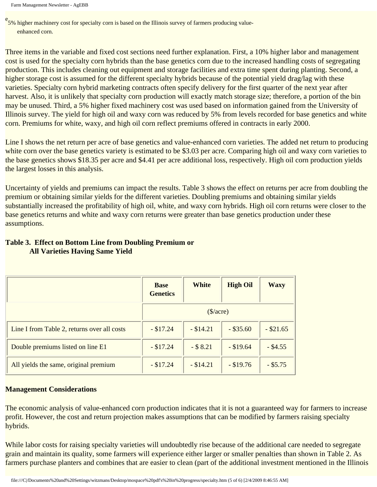Farm Management Newsletter - AgEBB

<sup>e</sup> 5% higher machinery cost for specialty corn is based on the Illinois survey of farmers producing valueenhanced corn.

Three items in the variable and fixed cost sections need further explanation. First, a 10% higher labor and management cost is used for the specialty corn hybrids than the base genetics corn due to the increased handling costs of segregating production. This includes cleaning out equipment and storage facilities and extra time spent during planting. Second, a higher storage cost is assumed for the different specialty hybrids because of the potential yield drag/lag with these varieties. Specialty corn hybrid marketing contracts often specify delivery for the first quarter of the next year after harvest. Also, it is unlikely that specialty corn production will exactly match storage size; therefore, a portion of the bin may be unused. Third, a 5% higher fixed machinery cost was used based on information gained from the University of Illinois survey. The yield for high oil and waxy corn was reduced by 5% from levels recorded for base genetics and white corn. Premiums for white, waxy, and high oil corn reflect premiums offered in contracts in early 2000.

Line I shows the net return per acre of base genetics and value-enhanced corn varieties. The added net return to producing white corn over the base genetics variety is estimated to be \$3.03 per acre. Comparing high oil and waxy corn varieties to the base genetics shows \$18.35 per acre and \$4.41 per acre additional loss, respectively. High oil corn production yields the largest losses in this analysis.

Uncertainty of yields and premiums can impact the results. Table 3 shows the effect on returns per acre from doubling the premium or obtaining similar yields for the different varieties. Doubling premiums and obtaining similar yields substantially increased the profitability of high oil, white, and waxy corn hybrids. High oil corn returns were closer to the base genetics returns and white and waxy corn returns were greater than base genetics production under these assumptions.

# **Table 3. Effect on Bottom Line from Doubling Premium or All Varieties Having Same Yield**

|                                             | <b>Base</b><br><b>Genetics</b> | <b>White</b> | <b>High Oil</b> | <b>Waxy</b> |
|---------------------------------------------|--------------------------------|--------------|-----------------|-------------|
|                                             | $(\frac{\sqrt{2}}{2})$         |              |                 |             |
| Line I from Table 2, returns over all costs | $- $17.24$                     | $-$ \$14.21  | $-$ \$35.60     | $-$ \$21.65 |
| Double premiums listed on line E1           | $- $17.24$                     | $-$ \$ 8.21  | $-$ \$19.64     | $-$ \$4.55  |
| All yields the same, original premium       | $- $17.24$                     | $-$ \$14.21  | $-$ \$19.76     | $-$ \$5.75  |

## **Management Considerations**

The economic analysis of value-enhanced corn production indicates that it is not a guaranteed way for farmers to increase profit. However, the cost and return projection makes assumptions that can be modified by farmers raising specialty hybrids.

While labor costs for raising specialty varieties will undoubtedly rise because of the additional care needed to segregate grain and maintain its quality, some farmers will experience either larger or smaller penalties than shown in Table 2. As farmers purchase planters and combines that are easier to clean (part of the additional investment mentioned in the Illinois